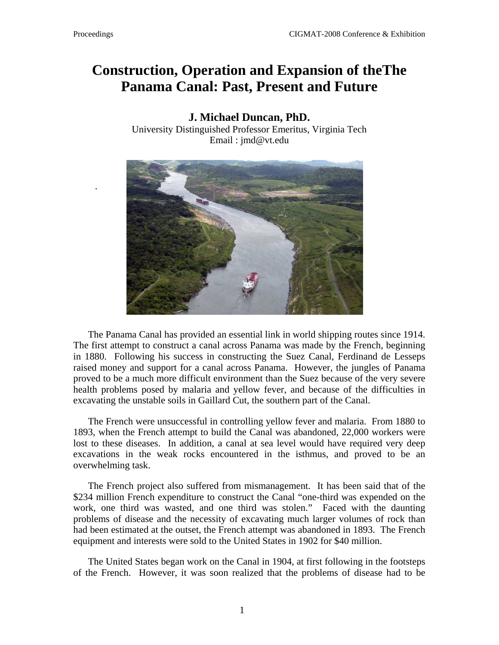.

## **Construction, Operation and Expansion of theThe Panama Canal: Past, Present and Future**

## **J. Michael Duncan, PhD.**

University Distinguished Professor Emeritus, Virginia Tech Email : jmd@vt.edu



The Panama Canal has provided an essential link in world shipping routes since 1914. The first attempt to construct a canal across Panama was made by the French, beginning in 1880. Following his success in constructing the Suez Canal, Ferdinand de Lesseps raised money and support for a canal across Panama. However, the jungles of Panama proved to be a much more difficult environment than the Suez because of the very severe health problems posed by malaria and yellow fever, and because of the difficulties in excavating the unstable soils in Gaillard Cut, the southern part of the Canal.

The French were unsuccessful in controlling yellow fever and malaria. From 1880 to 1893, when the French attempt to build the Canal was abandoned, 22,000 workers were lost to these diseases. In addition, a canal at sea level would have required very deep excavations in the weak rocks encountered in the isthmus, and proved to be an overwhelming task.

The French project also suffered from mismanagement. It has been said that of the \$234 million French expenditure to construct the Canal "one-third was expended on the work, one third was wasted, and one third was stolen." Faced with the daunting problems of disease and the necessity of excavating much larger volumes of rock than had been estimated at the outset, the French attempt was abandoned in 1893. The French equipment and interests were sold to the United States in 1902 for \$40 million.

The United States began work on the Canal in 1904, at first following in the footsteps of the French. However, it was soon realized that the problems of disease had to be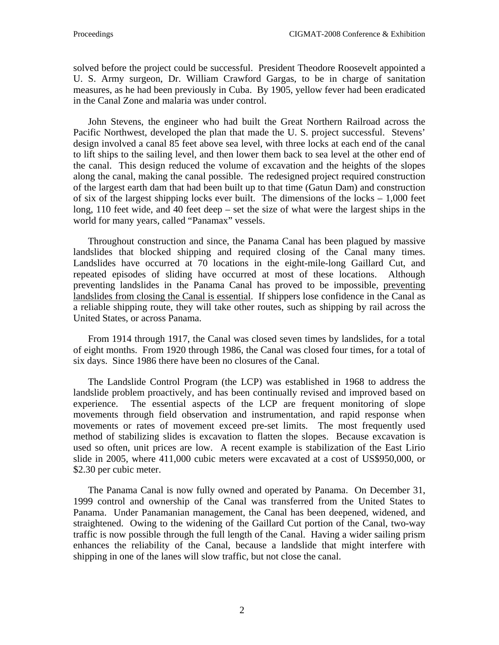solved before the project could be successful. President Theodore Roosevelt appointed a U. S. Army surgeon, Dr. William Crawford Gargas, to be in charge of sanitation measures, as he had been previously in Cuba. By 1905, yellow fever had been eradicated in the Canal Zone and malaria was under control.

John Stevens, the engineer who had built the Great Northern Railroad across the Pacific Northwest, developed the plan that made the U. S. project successful. Stevens' design involved a canal 85 feet above sea level, with three locks at each end of the canal to lift ships to the sailing level, and then lower them back to sea level at the other end of the canal. This design reduced the volume of excavation and the heights of the slopes along the canal, making the canal possible. The redesigned project required construction of the largest earth dam that had been built up to that time (Gatun Dam) and construction of six of the largest shipping locks ever built. The dimensions of the locks  $-1,000$  feet long, 110 feet wide, and 40 feet deep – set the size of what were the largest ships in the world for many years, called "Panamax" vessels.

Throughout construction and since, the Panama Canal has been plagued by massive landslides that blocked shipping and required closing of the Canal many times. Landslides have occurred at 70 locations in the eight-mile-long Gaillard Cut, and repeated episodes of sliding have occurred at most of these locations. Although preventing landslides in the Panama Canal has proved to be impossible, preventing landslides from closing the Canal is essential. If shippers lose confidence in the Canal as a reliable shipping route, they will take other routes, such as shipping by rail across the United States, or across Panama.

From 1914 through 1917, the Canal was closed seven times by landslides, for a total of eight months. From 1920 through 1986, the Canal was closed four times, for a total of six days. Since 1986 there have been no closures of the Canal.

The Landslide Control Program (the LCP) was established in 1968 to address the landslide problem proactively, and has been continually revised and improved based on experience. The essential aspects of the LCP are frequent monitoring of slope movements through field observation and instrumentation, and rapid response when movements or rates of movement exceed pre-set limits. The most frequently used method of stabilizing slides is excavation to flatten the slopes. Because excavation is used so often, unit prices are low. A recent example is stabilization of the East Lirio slide in 2005, where 411,000 cubic meters were excavated at a cost of US\$950,000, or \$2.30 per cubic meter.

The Panama Canal is now fully owned and operated by Panama. On December 31, 1999 control and ownership of the Canal was transferred from the United States to Panama. Under Panamanian management, the Canal has been deepened, widened, and straightened. Owing to the widening of the Gaillard Cut portion of the Canal, two-way traffic is now possible through the full length of the Canal. Having a wider sailing prism enhances the reliability of the Canal, because a landslide that might interfere with shipping in one of the lanes will slow traffic, but not close the canal.